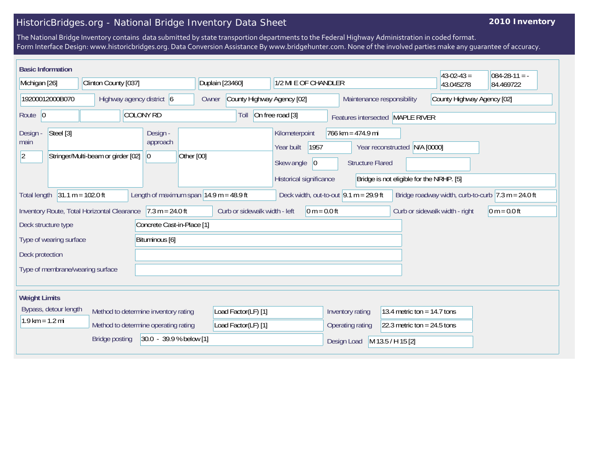## HistoricBridges.org - National Bridge Inventory Data Sheet

## **2010 Inventory**

The National Bridge Inventory contains data submitted by state transportion departments to the Federal Highway Administration in coded format. Form Interface Design: www.historicbridges.org. Data Conversion Assistance By www.bridgehunter.com. None of the involved parties make any guarantee of accuracy.

| <b>Basic Information</b>                  |                                                 |                           |                       |                                      |                            |                                                             |                               |                      |                                                                       |                                  |                                                          |                         |                                                                |                                | $43-02-43=$ | $084 - 28 - 11 = -$                                                    |
|-------------------------------------------|-------------------------------------------------|---------------------------|-----------------------|--------------------------------------|----------------------------|-------------------------------------------------------------|-------------------------------|----------------------|-----------------------------------------------------------------------|----------------------------------|----------------------------------------------------------|-------------------------|----------------------------------------------------------------|--------------------------------|-------------|------------------------------------------------------------------------|
| Michigan [26]                             |                                                 | Clinton County [037]      |                       |                                      |                            | Duplain [23460]                                             |                               | 1/2 MI E OF CHANDLER |                                                                       |                                  |                                                          |                         | 43.045278                                                      | 84.469722                      |             |                                                                        |
| 19200012000B070                           |                                                 | Highway agency district 6 |                       |                                      | Owner                      | County Highway Agency [02]                                  |                               |                      |                                                                       |                                  | Maintenance responsibility<br>County Highway Agency [02] |                         |                                                                |                                |             |                                                                        |
| Route $ 0$                                |                                                 |                           | <b>COLONY RD</b>      |                                      |                            | On free road [3]<br>Toll                                    |                               |                      |                                                                       | Features intersected MAPLE RIVER |                                                          |                         |                                                                |                                |             |                                                                        |
| Design -<br>main<br>$ 2\rangle$           | Steel [3]<br>Stringer/Multi-beam or girder [02] |                           |                       | Design -<br>approach<br>$ 0\rangle$  |                            | Other [00]                                                  |                               |                      | Kilometerpoint<br>Year built<br>Skew angle<br>Historical significance | 1957<br> 0                       | 766 km = 474.9 mi                                        | <b>Structure Flared</b> | Year reconstructed<br>Bridge is not eligible for the NRHP. [5] | N/A [0000]                     |             |                                                                        |
| <b>Total length</b>                       | $31.1 m = 102.0 ft$                             |                           |                       |                                      |                            | Length of maximum span $ 14.9 \text{ m} = 48.9 \text{ ft} $ |                               |                      | Deck width, out-to-out $9.1 m = 29.9 ft$                              |                                  |                                                          |                         |                                                                |                                |             | Bridge roadway width, curb-to-curb $ 7.3 \text{ m} = 24.0 \text{ ft} $ |
|                                           | Inventory Route, Total Horizontal Clearance     |                           |                       |                                      | $7.3 m = 24.0 ft$          |                                                             | Curb or sidewalk width - left |                      |                                                                       | $0 m = 0.0 ft$                   |                                                          |                         |                                                                | Curb or sidewalk width - right |             | $ 0 m = 0.0 ft$                                                        |
| Deck structure type                       |                                                 |                           |                       |                                      | Concrete Cast-in-Place [1] |                                                             |                               |                      |                                                                       |                                  |                                                          |                         |                                                                |                                |             |                                                                        |
| Bituminous [6]<br>Type of wearing surface |                                                 |                           |                       |                                      |                            |                                                             |                               |                      |                                                                       |                                  |                                                          |                         |                                                                |                                |             |                                                                        |
| Deck protection                           |                                                 |                           |                       |                                      |                            |                                                             |                               |                      |                                                                       |                                  |                                                          |                         |                                                                |                                |             |                                                                        |
|                                           | Type of membrane/wearing surface                |                           |                       |                                      |                            |                                                             |                               |                      |                                                                       |                                  |                                                          |                         |                                                                |                                |             |                                                                        |
|                                           |                                                 |                           |                       |                                      |                            |                                                             |                               |                      |                                                                       |                                  |                                                          |                         |                                                                |                                |             |                                                                        |
| <b>Weight Limits</b>                      |                                                 |                           |                       |                                      |                            |                                                             |                               |                      |                                                                       |                                  |                                                          |                         |                                                                |                                |             |                                                                        |
|                                           | Bypass, detour length                           |                           |                       | Method to determine inventory rating |                            |                                                             | Load Factor(LF) [1]           |                      |                                                                       |                                  | Inventory rating                                         |                         | 13.4 metric ton = $14.7$ tons                                  |                                |             |                                                                        |
| $1.9$ km = $1.2$ mi                       |                                                 |                           |                       | Method to determine operating rating |                            |                                                             | Load Factor(LF) [1]           |                      |                                                                       |                                  | Operating rating                                         |                         | 22.3 metric ton = $24.5$ tons                                  |                                |             |                                                                        |
|                                           |                                                 |                           | <b>Bridge posting</b> |                                      | 30.0 - 39.9 % below [1]    |                                                             |                               |                      |                                                                       |                                  | Design Load                                              |                         | M 13.5 / H 15 [2]                                              |                                |             |                                                                        |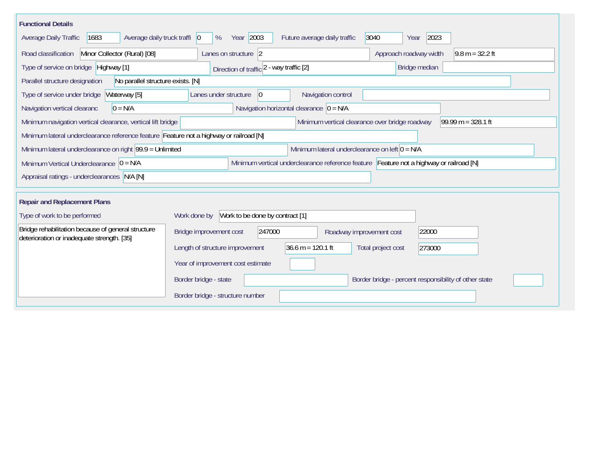| <b>Functional Details</b>                                                                        |                                                                                         |  |  |  |  |  |  |  |
|--------------------------------------------------------------------------------------------------|-----------------------------------------------------------------------------------------|--|--|--|--|--|--|--|
| 1683<br>Average daily truck traffi   0<br>Average Daily Traffic                                  | Year 2003<br>3040<br>2023<br>Future average daily traffic<br>%<br>Year                  |  |  |  |  |  |  |  |
| Minor Collector (Rural) [08]<br>Road classification                                              | Approach roadway width<br>$9.8 m = 32.2 ft$<br>Lanes on structure 2                     |  |  |  |  |  |  |  |
| Type of service on bridge Highway [1]                                                            | Bridge median<br>Direction of traffic 2 - way traffic [2]                               |  |  |  |  |  |  |  |
| No parallel structure exists. [N]<br>Parallel structure designation                              |                                                                                         |  |  |  |  |  |  |  |
| Waterway [5]<br>Type of service under bridge                                                     | Navigation control<br>Lanes under structure<br>$\overline{0}$                           |  |  |  |  |  |  |  |
| Navigation vertical clearanc<br>$0 = N/A$                                                        | Navigation horizontal clearance $ 0 = N/A $                                             |  |  |  |  |  |  |  |
| Minimum navigation vertical clearance, vertical lift bridge                                      | Minimum vertical clearance over bridge roadway<br>99.99 m = $328.1$ ft                  |  |  |  |  |  |  |  |
| Minimum lateral underclearance reference feature Feature not a highway or railroad [N]           |                                                                                         |  |  |  |  |  |  |  |
| Minimum lateral underclearance on right $99.9 =$ Unlimited                                       | Minimum lateral underclearance on left $0 = N/A$                                        |  |  |  |  |  |  |  |
| Minimum Vertical Underclearance $ 0 = N/A$                                                       | Minimum vertical underclearance reference feature Feature not a highway or railroad [N] |  |  |  |  |  |  |  |
| Appraisal ratings - underclearances N/A [N]                                                      |                                                                                         |  |  |  |  |  |  |  |
|                                                                                                  |                                                                                         |  |  |  |  |  |  |  |
| <b>Repair and Replacement Plans</b>                                                              |                                                                                         |  |  |  |  |  |  |  |
| Type of work to be performed                                                                     | Work to be done by contract [1]<br>Work done by                                         |  |  |  |  |  |  |  |
| Bridge rehabilitation because of general structure<br>deterioration or inadequate strength. [35] | 247000<br>22000<br>Bridge improvement cost<br>Roadway improvement cost                  |  |  |  |  |  |  |  |
|                                                                                                  | $36.6 m = 120.1 ft$<br>Length of structure improvement<br>Total project cost<br>273000  |  |  |  |  |  |  |  |
|                                                                                                  | Year of improvement cost estimate                                                       |  |  |  |  |  |  |  |
|                                                                                                  | Border bridge - state<br>Border bridge - percent responsibility of other state          |  |  |  |  |  |  |  |
|                                                                                                  | Border bridge - structure number                                                        |  |  |  |  |  |  |  |